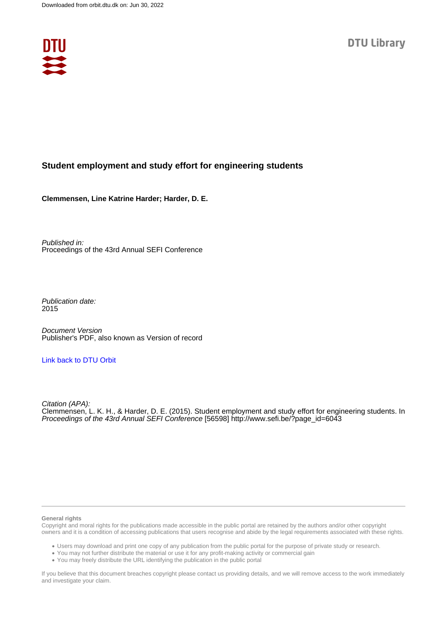

#### **Student employment and study effort for engineering students**

**Clemmensen, Line Katrine Harder; Harder, D. E.**

Published in: Proceedings of the 43rd Annual SEFI Conference

Publication date: 2015

Document Version Publisher's PDF, also known as Version of record

#### [Link back to DTU Orbit](https://orbit.dtu.dk/en/publications/c5c6edc9-ccd4-4706-9306-f1a2799e4ad4)

Citation (APA): Clemmensen, L. K. H., & Harder, D. E. (2015). Student employment and study effort for engineering students. In Proceedings of the 43rd Annual SEFI Conference [56598] [http://www.sefi.be/?page\\_id=6043](http://www.sefi.be/?page_id=6043)

#### **General rights**

Copyright and moral rights for the publications made accessible in the public portal are retained by the authors and/or other copyright owners and it is a condition of accessing publications that users recognise and abide by the legal requirements associated with these rights.

Users may download and print one copy of any publication from the public portal for the purpose of private study or research.

- You may not further distribute the material or use it for any profit-making activity or commercial gain
- You may freely distribute the URL identifying the publication in the public portal

If you believe that this document breaches copyright please contact us providing details, and we will remove access to the work immediately and investigate your claim.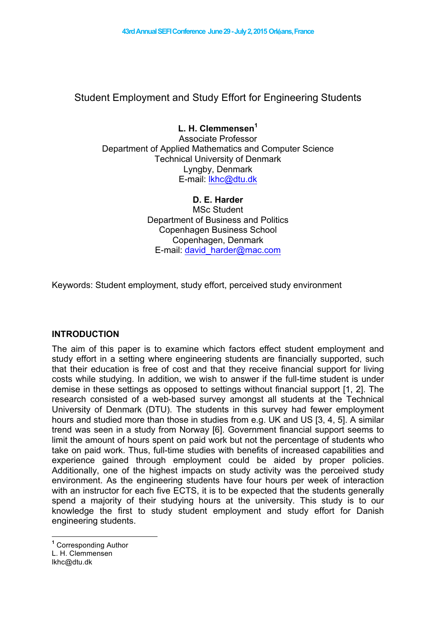# Student Employment and Study Effort for Engineering Students

# **L. H. Clemmensen<sup>1</sup>**

Associate Professor Department of Applied Mathematics and Computer Science Technical University of Denmark Lyngby, Denmark E-mail: lkhc@dtu.dk

#### **D. E. Harder**

MSc Student Department of Business and Politics Copenhagen Business School Copenhagen, Denmark E-mail: david\_harder@mac.com

Keywords: Student employment, study effort, perceived study environment

## **INTRODUCTION**

The aim of this paper is to examine which factors effect student employment and study effort in a setting where engineering students are financially supported, such that their education is free of cost and that they receive financial support for living costs while studying. In addition, we wish to answer if the full-time student is under demise in these settings as opposed to settings without financial support [1, 2]. The research consisted of a web-based survey amongst all students at the Technical University of Denmark (DTU). The students in this survey had fewer employment hours and studied more than those in studies from e.g. UK and US [3, 4, 5]. A similar trend was seen in a study from Norway [6]. Government financial support seems to limit the amount of hours spent on paid work but not the percentage of students who take on paid work. Thus, full-time studies with benefits of increased capabilities and experience gained through employment could be aided by proper policies. Additionally, one of the highest impacts on study activity was the perceived study environment. As the engineering students have four hours per week of interaction with an instructor for each five ECTS, it is to be expected that the students generally spend a majority of their studying hours at the university. This study is to our knowledge the first to study student employment and study effort for Danish engineering students.

**<sup>1</sup>** Corresponding Author L. H. Clemmensen lkhc@dtu.dk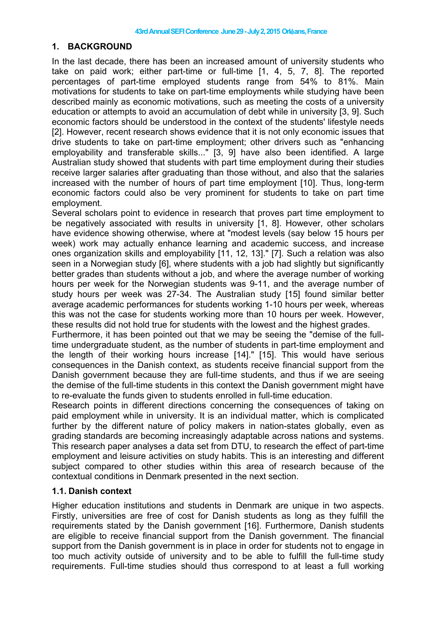#### **1. BACKGROUND**

In the last decade, there has been an increased amount of university students who take on paid work; either part-time or full-time [1, 4, 5, 7, 8]. The reported percentages of part-time employed students range from 54% to 81%. Main motivations for students to take on part-time employments while studying have been described mainly as economic motivations, such as meeting the costs of a university education or attempts to avoid an accumulation of debt while in university [3, 9]. Such economic factors should be understood in the context of the students' lifestyle needs [2]. However, recent research shows evidence that it is not only economic issues that drive students to take on part-time employment; other drivers such as "enhancing employability and transferable skills..." [3, 9] have also been identified. A large Australian study showed that students with part time employment during their studies receive larger salaries after graduating than those without, and also that the salaries increased with the number of hours of part time employment [10]. Thus, long-term economic factors could also be very prominent for students to take on part time employment.

Several scholars point to evidence in research that proves part time employment to be negatively associated with results in university [1, 8]. However, other scholars have evidence showing otherwise, where at "modest levels (say below 15 hours per week) work may actually enhance learning and academic success, and increase ones organization skills and employability [11, 12, 13]." [7]. Such a relation was also seen in a Norwegian study [6], where students with a job had slightly but significantly better grades than students without a job, and where the average number of working hours per week for the Norwegian students was 9-11, and the average number of study hours per week was 27-34. The Australian study [15] found similar better average academic performances for students working 1-10 hours per week, whereas this was not the case for students working more than 10 hours per week. However, these results did not hold true for students with the lowest and the highest grades.

Furthermore, it has been pointed out that we may be seeing the "demise of the fulltime undergraduate student, as the number of students in part-time employment and the length of their working hours increase [14]." [15]. This would have serious consequences in the Danish context, as students receive financial support from the Danish government because they are full-time students, and thus if we are seeing the demise of the full-time students in this context the Danish government might have to re-evaluate the funds given to students enrolled in full-time education.

Research points in different directions concerning the consequences of taking on paid employment while in university. It is an individual matter, which is complicated further by the different nature of policy makers in nation-states globally, even as grading standards are becoming increasingly adaptable across nations and systems. This research paper analyses a data set from DTU, to research the effect of part-time employment and leisure activities on study habits. This is an interesting and different subject compared to other studies within this area of research because of the contextual conditions in Denmark presented in the next section.

#### **1.1. Danish context**

Higher education institutions and students in Denmark are unique in two aspects. Firstly, universities are free of cost for Danish students as long as they fulfill the requirements stated by the Danish government [16]. Furthermore, Danish students are eligible to receive financial support from the Danish government. The financial support from the Danish government is in place in order for students not to engage in too much activity outside of university and to be able to fulfill the full-time study requirements. Full-time studies should thus correspond to at least a full working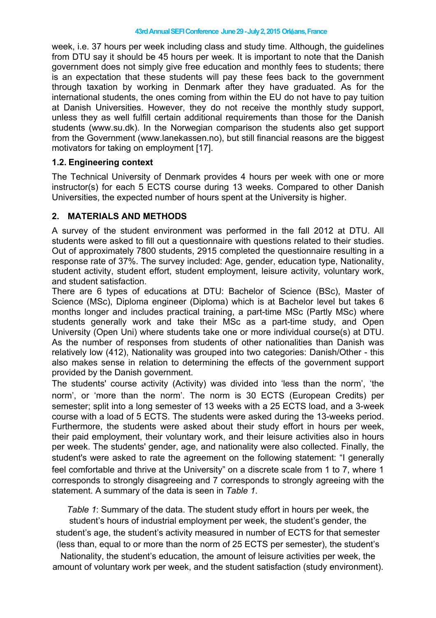week, i.e. 37 hours per week including class and study time. Although, the guidelines from DTU say it should be 45 hours per week. It is important to note that the Danish government does not simply give free education and monthly fees to students; there is an expectation that these students will pay these fees back to the government through taxation by working in Denmark after they have graduated. As for the international students, the ones coming from within the EU do not have to pay tuition at Danish Universities. However, they do not receive the monthly study support, unless they as well fulfill certain additional requirements than those for the Danish students (www.su.dk). In the Norwegian comparison the students also get support from the Government (www.lanekassen.no), but still financial reasons are the biggest motivators for taking on employment [17].

#### **1.2. Engineering context**

The Technical University of Denmark provides 4 hours per week with one or more instructor(s) for each 5 ECTS course during 13 weeks. Compared to other Danish Universities, the expected number of hours spent at the University is higher.

## **2. MATERIALS AND METHODS**

A survey of the student environment was performed in the fall 2012 at DTU. All students were asked to fill out a questionnaire with questions related to their studies. Out of approximately 7800 students, 2915 completed the questionnaire resulting in a response rate of 37%. The survey included: Age, gender, education type, Nationality, student activity, student effort, student employment, leisure activity, voluntary work, and student satisfaction.

There are 6 types of educations at DTU: Bachelor of Science (BSc), Master of Science (MSc), Diploma engineer (Diploma) which is at Bachelor level but takes 6 months longer and includes practical training, a part-time MSc (Partly MSc) where students generally work and take their MSc as a part-time study, and Open University (Open Uni) where students take one or more individual course(s) at DTU. As the number of responses from students of other nationalities than Danish was relatively low (412), Nationality was grouped into two categories: Danish/Other - this also makes sense in relation to determining the effects of the government support provided by the Danish government.

The students' course activity (Activity) was divided into 'less than the norm', 'the norm', or 'more than the norm'. The norm is 30 ECTS (European Credits) per semester; split into a long semester of 13 weeks with a 25 ECTS load, and a 3-week course with a load of 5 ECTS. The students were asked during the 13-weeks period. Furthermore, the students were asked about their study effort in hours per week, their paid employment, their voluntary work, and their leisure activities also in hours per week. The students' gender, age, and nationality were also collected. Finally, the student's were asked to rate the agreement on the following statement: "I generally feel comfortable and thrive at the University" on a discrete scale from 1 to 7, where 1 corresponds to strongly disagreeing and 7 corresponds to strongly agreeing with the statement. A summary of the data is seen in *Table 1*.

*Table 1*: Summary of the data. The student study effort in hours per week, the student's hours of industrial employment per week, the student's gender, the student's age, the student's activity measured in number of ECTS for that semester (less than, equal to or more than the norm of 25 ECTS per semester), the student's

Nationality, the student's education, the amount of leisure activities per week, the amount of voluntary work per week, and the student satisfaction (study environment).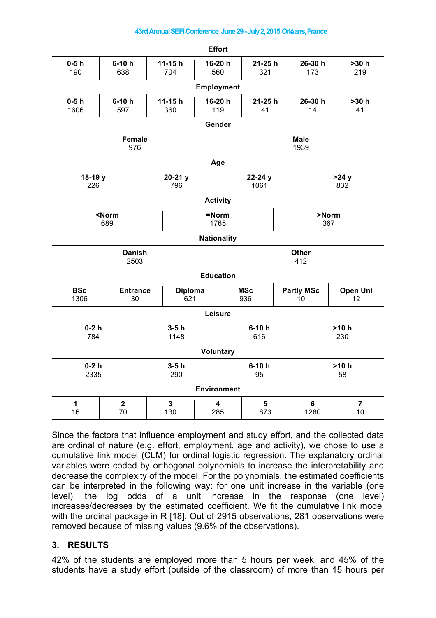| <b>Effort</b>          |                        |                 |                       |                |                                            |                 |             |                                           |                |  |
|------------------------|------------------------|-----------------|-----------------------|----------------|--------------------------------------------|-----------------|-------------|-------------------------------------------|----------------|--|
| $0-5h$<br>190          | $6-10h$<br>638         |                 | $11 - 15h$<br>704     |                | 16-20 h<br>560                             |                 | $21 - 25 h$ | 26-30 h<br>173                            | >30 h<br>219   |  |
| <b>Employment</b>      |                        |                 |                       |                |                                            |                 |             |                                           |                |  |
| $0-5h$<br>1606         | $6-10h$<br>597         | $11-15h$<br>360 |                       | 16-20 h<br>119 |                                            | 21-25 h<br>41   |             | 26-30 h<br>14                             | >30 h<br>41    |  |
| Gender                 |                        |                 |                       |                |                                            |                 |             |                                           |                |  |
| <b>Female</b><br>976   |                        |                 |                       |                | <b>Male</b><br>1939                        |                 |             |                                           |                |  |
| Age                    |                        |                 |                       |                |                                            |                 |             |                                           |                |  |
| 18-19 y<br>226         |                        |                 | $20-21$ y<br>796      |                |                                            | 22-24 y<br>1061 |             |                                           | >24y<br>832    |  |
| <b>Activity</b>        |                        |                 |                       |                |                                            |                 |             |                                           |                |  |
| <norm<br>689</norm<br> |                        |                 |                       | =Norm          | 1765                                       | >Norm<br>367    |             |                                           |                |  |
| <b>Nationality</b>     |                        |                 |                       |                |                                            |                 |             |                                           |                |  |
| <b>Danish</b><br>2503  |                        |                 |                       |                | <b>Other</b><br>412                        |                 |             |                                           |                |  |
| <b>Education</b>       |                        |                 |                       |                |                                            |                 |             |                                           |                |  |
| <b>BSc</b><br>1306     | <b>Entrance</b><br>30  |                 | <b>Diploma</b><br>621 |                | <b>MSc</b><br>936                          |                 |             | <b>Partly MSc</b><br>Open Uni<br>12<br>10 |                |  |
| Leisure                |                        |                 |                       |                |                                            |                 |             |                                           |                |  |
| $0-2h$<br>784          |                        |                 | $3-5h$<br>1148        |                |                                            | $6-10h$<br>616  |             |                                           | $>10 h$<br>230 |  |
| <b>Voluntary</b>       |                        |                 |                       |                |                                            |                 |             |                                           |                |  |
| $0-2h$<br>2335         |                        |                 | $3-5h$<br>290         |                |                                            | $6-10h$<br>95   |             |                                           | $>10 h$<br>58  |  |
| <b>Environment</b>     |                        |                 |                       |                |                                            |                 |             |                                           |                |  |
| $\mathbf 1$<br>16      | $\boldsymbol{2}$<br>70 |                 | $\mathbf 3$<br>130    |                | $\overline{\mathbf{4}}$<br>5<br>285<br>873 |                 |             | 6<br>1280                                 | 7<br>10        |  |

Since the factors that influence employment and study effort, and the collected data are ordinal of nature (e.g. effort, employment, age and activity), we chose to use a cumulative link model (CLM) for ordinal logistic regression. The explanatory ordinal variables were coded by orthogonal polynomials to increase the interpretability and decrease the complexity of the model. For the polynomials, the estimated coefficients can be interpreted in the following way: for one unit increase in the variable (one level), the log odds of a unit increase in the response (one level) increases/decreases by the estimated coefficient. We fit the cumulative link model with the ordinal package in R [18]. Out of 2915 observations, 281 observations were removed because of missing values (9.6% of the observations).

## **3. RESULTS**

42% of the students are employed more than 5 hours per week, and 45% of the students have a study effort (outside of the classroom) of more than 15 hours per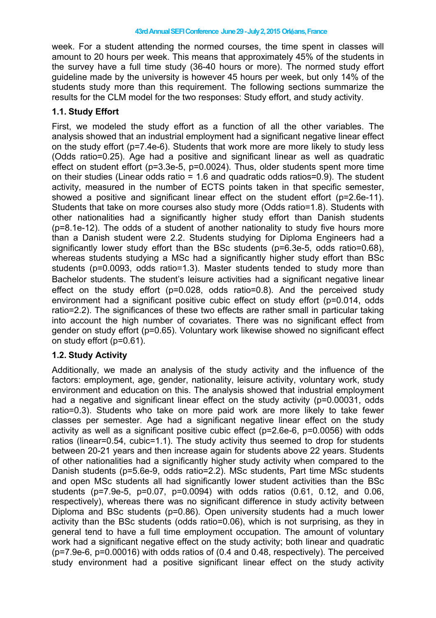week. For a student attending the normed courses, the time spent in classes will amount to 20 hours per week. This means that approximately 45% of the students in the survey have a full time study (36-40 hours or more). The normed study effort guideline made by the university is however 45 hours per week, but only 14% of the students study more than this requirement. The following sections summarize the results for the CLM model for the two responses: Study effort, and study activity.

#### **1.1. Study Effort**

First, we modeled the study effort as a function of all the other variables. The analysis showed that an industrial employment had a significant negative linear effect on the study effort (p=7.4e-6). Students that work more are more likely to study less (Odds ratio=0.25). Age had a positive and significant linear as well as quadratic effect on student effort (p=3.3e-5, p=0.0024). Thus, older students spent more time on their studies (Linear odds ratio = 1.6 and quadratic odds ratios=0.9). The student activity, measured in the number of ECTS points taken in that specific semester, showed a positive and significant linear effect on the student effort (p=2.6e-11). Students that take on more courses also study more (Odds ratio=1.8). Students with other nationalities had a significantly higher study effort than Danish students (p=8.1e-12). The odds of a student of another nationality to study five hours more than a Danish student were 2.2. Students studying for Diploma Engineers had a significantly lower study effort than the BSc students (p=6.3e-5, odds ratio=0.68), whereas students studying a MSc had a significantly higher study effort than BSc students (p=0.0093, odds ratio=1.3). Master students tended to study more than Bachelor students. The student's leisure activities had a significant negative linear effect on the study effort (p=0.028, odds ratio=0.8). And the perceived study environment had a significant positive cubic effect on study effort (p=0.014, odds ratio=2.2). The significances of these two effects are rather small in particular taking into account the high number of covariates. There was no significant effect from gender on study effort (p=0.65). Voluntary work likewise showed no significant effect on study effort (p=0.61).

## **1.2. Study Activity**

Additionally, we made an analysis of the study activity and the influence of the factors: employment, age, gender, nationality, leisure activity, voluntary work, study environment and education on this. The analysis showed that industrial employment had a negative and significant linear effect on the study activity (p=0.00031, odds ratio=0.3). Students who take on more paid work are more likely to take fewer classes per semester. Age had a significant negative linear effect on the study activity as well as a significant positive cubic effect (p=2.6e-6, p=0.0056) with odds ratios (linear=0.54, cubic=1.1). The study activity thus seemed to drop for students between 20-21 years and then increase again for students above 22 years. Students of other nationalities had a significantly higher study activity when compared to the Danish students (p=5.6e-9, odds ratio=2.2). MSc students, Part time MSc students and open MSc students all had significantly lower student activities than the BSc students (p=7.9e-5, p=0.07, p=0.0094) with odds ratios (0.61, 0.12, and 0.06, respectively), whereas there was no significant difference in study activity between Diploma and BSc students (p=0.86). Open university students had a much lower activity than the BSc students (odds ratio=0.06), which is not surprising, as they in general tend to have a full time employment occupation. The amount of voluntary work had a significant negative effect on the study activity; both linear and quadratic (p=7.9e-6, p=0.00016) with odds ratios of (0.4 and 0.48, respectively). The perceived study environment had a positive significant linear effect on the study activity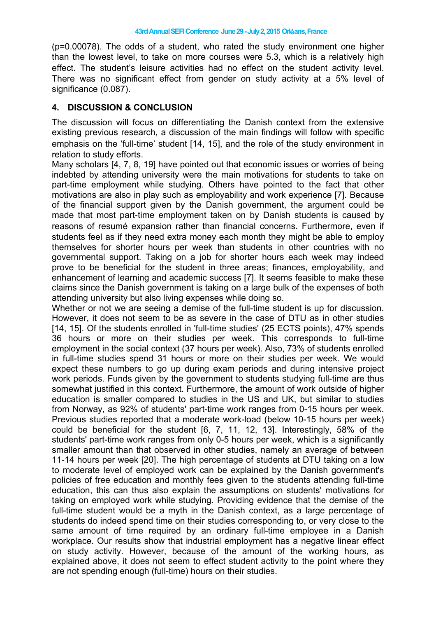(p=0.00078). The odds of a student, who rated the study environment one higher than the lowest level, to take on more courses were 5.3, which is a relatively high effect. The student's leisure activities had no effect on the student activity level. There was no significant effect from gender on study activity at a 5% level of significance (0.087).

# **4. DISCUSSION & CONCLUSION**

The discussion will focus on differentiating the Danish context from the extensive existing previous research, a discussion of the main findings will follow with specific emphasis on the 'full-time' student [14, 15], and the role of the study environment in relation to study efforts.

Many scholars [4, 7, 8, 19] have pointed out that economic issues or worries of being indebted by attending university were the main motivations for students to take on part-time employment while studying. Others have pointed to the fact that other motivations are also in play such as employability and work experience [7]. Because of the financial support given by the Danish government, the argument could be made that most part-time employment taken on by Danish students is caused by reasons of resumé expansion rather than financial concerns. Furthermore, even if students feel as if they need extra money each month they might be able to employ themselves for shorter hours per week than students in other countries with no governmental support. Taking on a job for shorter hours each week may indeed prove to be beneficial for the student in three areas; finances, employability, and enhancement of learning and academic success [7]. It seems feasible to make these claims since the Danish government is taking on a large bulk of the expenses of both attending university but also living expenses while doing so.

Whether or not we are seeing a demise of the full-time student is up for discussion. However, it does not seem to be as severe in the case of DTU as in other studies [14, 15]. Of the students enrolled in 'full-time studies' (25 ECTS points), 47% spends 36 hours or more on their studies per week. This corresponds to full-time employment in the social context (37 hours per week). Also, 73% of students enrolled in full-time studies spend 31 hours or more on their studies per week. We would expect these numbers to go up during exam periods and during intensive project work periods. Funds given by the government to students studying full-time are thus somewhat justified in this context. Furthermore, the amount of work outside of higher education is smaller compared to studies in the US and UK, but similar to studies from Norway, as 92% of students' part-time work ranges from 0-15 hours per week. Previous studies reported that a moderate work-load (below 10-15 hours per week) could be beneficial for the student [6, 7, 11, 12, 13]. Interestingly, 58% of the students' part-time work ranges from only 0-5 hours per week, which is a significantly smaller amount than that observed in other studies, namely an average of between 11-14 hours per week [20]. The high percentage of students at DTU taking on a low to moderate level of employed work can be explained by the Danish government's policies of free education and monthly fees given to the students attending full-time education, this can thus also explain the assumptions on students' motivations for taking on employed work while studying. Providing evidence that the demise of the full-time student would be a myth in the Danish context, as a large percentage of students do indeed spend time on their studies corresponding to, or very close to the same amount of time required by an ordinary full-time employee in a Danish workplace. Our results show that industrial employment has a negative linear effect on study activity. However, because of the amount of the working hours, as explained above, it does not seem to effect student activity to the point where they are not spending enough (full-time) hours on their studies.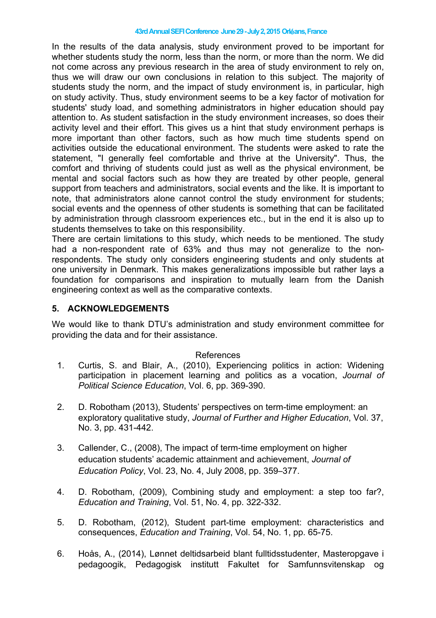#### **43rdAnnualSEFIConference June29-July2,2015 Orl**é**ans,France**

In the results of the data analysis, study environment proved to be important for whether students study the norm, less than the norm, or more than the norm. We did not come across any previous research in the area of study environment to rely on, thus we will draw our own conclusions in relation to this subject. The majority of students study the norm, and the impact of study environment is, in particular, high on study activity. Thus, study environment seems to be a key factor of motivation for students' study load, and something administrators in higher education should pay attention to. As student satisfaction in the study environment increases, so does their activity level and their effort. This gives us a hint that study environment perhaps is more important than other factors, such as how much time students spend on activities outside the educational environment. The students were asked to rate the statement, "I generally feel comfortable and thrive at the University". Thus, the comfort and thriving of students could just as well as the physical environment, be mental and social factors such as how they are treated by other people, general support from teachers and administrators, social events and the like. It is important to note, that administrators alone cannot control the study environment for students; social events and the openness of other students is something that can be facilitated by administration through classroom experiences etc., but in the end it is also up to students themselves to take on this responsibility.

There are certain limitations to this study, which needs to be mentioned. The study had a non-respondent rate of 63% and thus may not generalize to the nonrespondents. The study only considers engineering students and only students at one university in Denmark. This makes generalizations impossible but rather lays a foundation for comparisons and inspiration to mutually learn from the Danish engineering context as well as the comparative contexts.

# **5. ACKNOWLEDGEMENTS**

We would like to thank DTU's administration and study environment committee for providing the data and for their assistance.

#### References

- 1. Curtis, S. and Blair, A., (2010), Experiencing politics in action: Widening participation in placement learning and politics as a vocation, *Journal of Political Science Education*, Vol. 6, pp. 369-390.
- 2. D. Robotham (2013), Students' perspectives on term-time employment: an exploratory qualitative study, *Journal of Further and Higher Education*, Vol. 37, No. 3, pp. 431-442.
- 3. Callender, C., (2008), The impact of term-time employment on higher education students' academic attainment and achievement, *Journal of Education Policy*, Vol. 23, No. 4, July 2008, pp. 359–377.
- 4. D. Robotham, (2009), Combining study and employment: a step too far?, *Education and Training*, Vol. 51, No. 4, pp. 322-332.
- 5. D. Robotham, (2012), Student part-time employment: characteristics and consequences, *Education and Training*, Vol. 54, No. 1, pp. 65-75.
- 6. Hoås, A., (2014), Lønnet deltidsarbeid blant fulltidsstudenter, Masteropgave i pedagoogik, Pedagogisk institutt Fakultet for Samfunnsvitenskap og